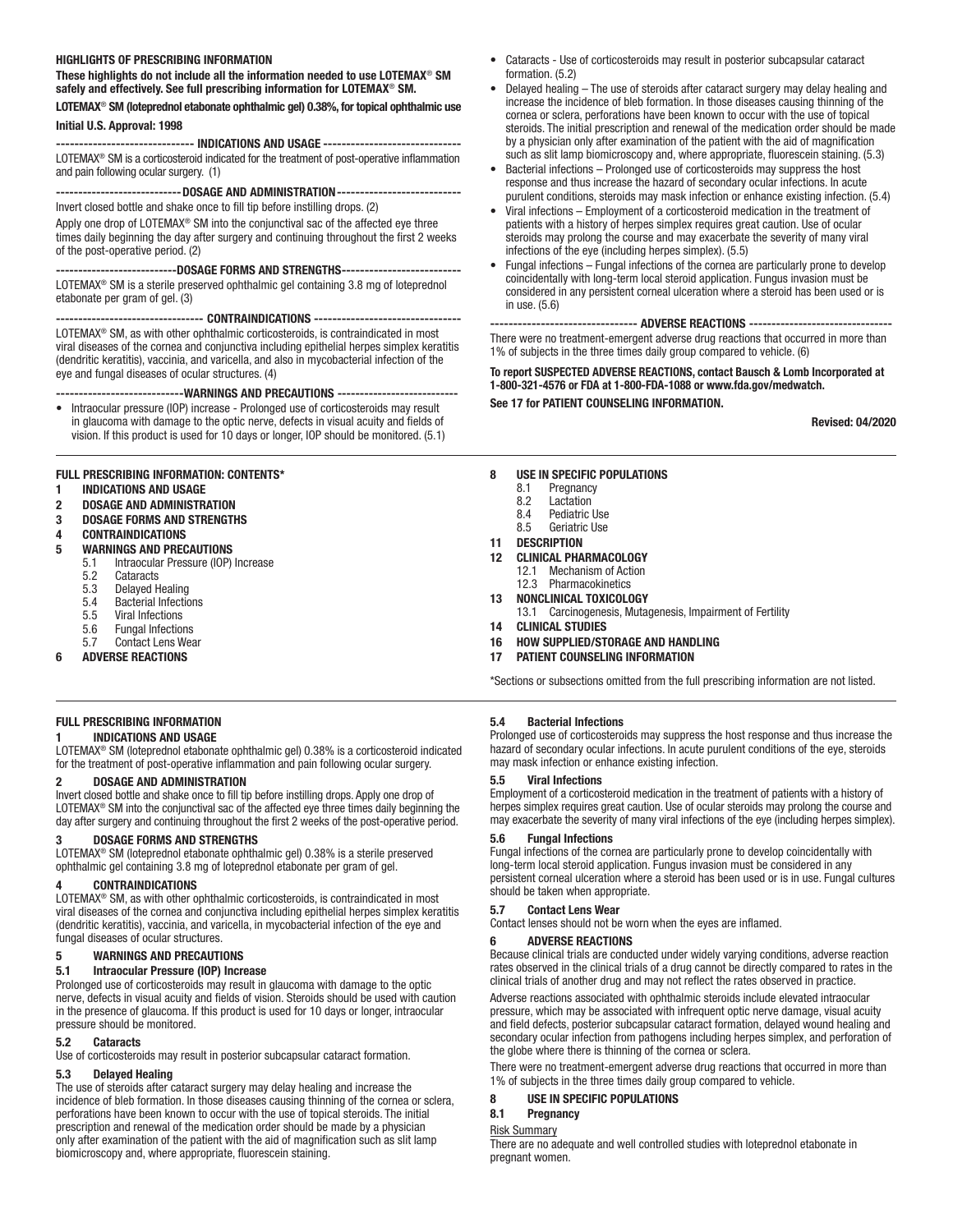#### HIGHLIGHTS OF PRESCRIBING INFORMATION

These highlights do not include all the information needed to use LOTEMAX® SM safely and effectively. See full prescribing information for LOTEMAX® SM.

### LOTEMAX® SM (loteprednol etabonate ophthalmic gel) 0.38%, for topical ophthalmic use Initial U.S. Approval: 1998

------------------------------ INDICATIONS AND USAGE ------------------------------ LOTEMAX® SM is a corticosteroid indicated for the treatment of post-operative inflammation and pain following ocular surgery. (1)

--------------------------- DOSAGE AND ADMINISTRATION---------------------------Invert closed bottle and shake once to fill tip before instilling drops. (2)

Apply one drop of LOTEMAX® SM into the conjunctival sac of the affected eye three times daily beginning the day after surgery and continuing throughout the first 2 weeks of the post-operative period. (2)

---------------------------DOSAGE FORMS AND STRENGTHS-------------------------- LOTEMAX® SM is a sterile preserved ophthalmic gel containing 3.8 mg of loteprednol etabonate per gram of gel. (3)

--------------------------------- CONTRAINDICATIONS -------------------------------- LOTEMAX® SM, as with other ophthalmic corticosteroids, is contraindicated in most viral diseases of the cornea and conjunctiva including epithelial herpes simplex keratitis (dendritic keratitis), vaccinia, and varicella, and also in mycobacterial infection of the eye and fungal diseases of ocular structures. (4)

---WARNINGS AND PRECAUTIONS ---

• Intraocular pressure (IOP) increase - Prolonged use of corticosteroids may result in glaucoma with damage to the optic nerve, defects in visual acuity and fields of vision. If this product is used for 10 days or longer, IOP should be monitored. (5.1)

#### FULL PRESCRIBING INFORMATION: CONTENTS\*

- 1 INDICATIONS AND USAGE
- 2 DOSAGE AND ADMINISTRATION
- 3 DOSAGE FORMS AND STRENGTHS
- 4 CONTRAINDICATIONS

# 5 WARNINGS AND PRECAUTIONS<br>5.1 Intraocular Pressure (IOP)

- 5.1 Intraocular Pressure (IOP) Increase<br>5.2 Cataracts
- Cataracts
- 5.3 Delayed Healing
- 
- 5.4 Bacterial Infections<br>5.5 Viral Infections 5.5 Viral Infections<br>5.6 Fungal Infection
- 5.6 Fungal Infections
- 5.7 Contact Lens Wear
- 6 ADVERSE REACTIONS

# FULL PRESCRIBING INFORMATION

# 1 INDICATIONS AND USAGE

LOTEMAX® SM (loteprednol etabonate ophthalmic gel) 0.38% is a corticosteroid indicated for the treatment of post-operative inflammation and pain following ocular surgery.

#### 2 DOSAGE AND ADMINISTRATION

Invert closed bottle and shake once to fill tip before instilling drops. Apply one drop of LOTEMAX® SM into the conjunctival sac of the affected eye three times daily beginning the day after surgery and continuing throughout the first 2 weeks of the post-operative period.

# DOSAGE FORMS AND STRENGTHS

LOTEMAX® SM (loteprednol etabonate ophthalmic gel) 0.38% is a sterile preserved ophthalmic gel containing 3.8 mg of loteprednol etabonate per gram of gel.

#### 4 CONTRAINDICATIONS

LOTEMAX® SM, as with other ophthalmic corticosteroids, is contraindicated in most viral diseases of the cornea and conjunctiva including epithelial herpes simplex keratitis (dendritic keratitis), vaccinia, and varicella, in mycobacterial infection of the eye and fungal diseases of ocular structures.

# 5 WARNINGS AND PRECAUTIONS

#### 5.1 Intraocular Pressure (IOP) Increase

Prolonged use of corticosteroids may result in glaucoma with damage to the optic nerve, defects in visual acuity and fields of vision. Steroids should be used with caution in the presence of glaucoma. If this product is used for 10 days or longer, intraocular pressure should be monitored.

#### 5.2 Cataracts

Use of corticosteroids may result in posterior subcapsular cataract formation.

#### 5.3 Delayed Healing

The use of steroids after cataract surgery may delay healing and increase the incidence of bleb formation. In those diseases causing thinning of the cornea or sclera, perforations have been known to occur with the use of topical steroids. The initial prescription and renewal of the medication order should be made by a physician only after examination of the patient with the aid of magnification such as slit lamp biomicroscopy and, where appropriate, fluorescein staining.

- Cataracts Use of corticosteroids may result in posterior subcapsular cataract formation. (5.2)
- Delayed healing The use of steroids after cataract surgery may delay healing and increase the incidence of bleb formation. In those diseases causing thinning of the cornea or sclera, perforations have been known to occur with the use of topical steroids. The initial prescription and renewal of the medication order should be made by a physician only after examination of the patient with the aid of magnification such as slit lamp biomicroscopy and, where appropriate, fluorescein staining. (5.3)
- Bacterial infections Prolonged use of corticosteroids may suppress the host response and thus increase the hazard of secondary ocular infections. In acute purulent conditions, steroids may mask infection or enhance existing infection. (5.4)
- Viral infections Employment of a corticosteroid medication in the treatment of patients with a history of herpes simplex requires great caution. Use of ocular steroids may prolong the course and may exacerbate the severity of many viral infections of the eye (including herpes simplex). (5.5)
- Fungal infections Fungal infections of the cornea are particularly prone to develop coincidentally with long-term local steroid application. Fungus invasion must be considered in any persistent corneal ulceration where a steroid has been used or is in use. (5.6)

-------------------------------- ADVERSE REACTIONS -------------------------------- There were no treatment-emergent adverse drug reactions that occurred in more than 1% of subjects in the three times daily group compared to vehicle. (6)

# To report SUSPECTED ADVERSE REACTIONS, contact Bausch & Lomb Incorporated at 1-800-321-4576 or FDA at 1-800-FDA-1088 or www.fda.gov/medwatch.

See 17 for PATIENT COUNSELING INFORMATION.

Revised: 04/2020

#### 8 USE IN SPECIFIC POPULATIONS

- 8.1 Pregnancy<br>8.2 Lactation
- Lactation
- 8.4 Pediatric Use 8.5 Geriatric Use
- 
- 11 DESCRIPTION
- 12 CLINICAL PHARMACOLOGY
	- 12.1 Mechanism of Action 12.3 Pharmacokinetics
- 13 NONCLINICAL TOXICOLOGY
	- 13.1 Carcinogenesis, Mutagenesis, Impairment of Fertility
- 14 CLINICAL STUDIES
- 16 HOW SUPPLIED/STORAGE AND HANDLING
- 17 PATIENT COUNSELING INFORMATION

\*Sections or subsections omitted from the full prescribing information are not listed.

#### 5.4 Bacterial Infections

Prolonged use of corticosteroids may suppress the host response and thus increase the hazard of secondary ocular infections. In acute purulent conditions of the eye, steroids may mask infection or enhance existing infection.

#### 5.5 Viral Infections

Employment of a corticosteroid medication in the treatment of patients with a history of herpes simplex requires great caution. Use of ocular steroids may prolong the course and may exacerbate the severity of many viral infections of the eye (including herpes simplex).

### 5.6 Fungal Infections

Fungal infections of the cornea are particularly prone to develop coincidentally with long-term local steroid application. Fungus invasion must be considered in any persistent corneal ulceration where a steroid has been used or is in use. Fungal cultures should be taken when appropriate.

#### 5.7 Contact Lens Wear

Contact lenses should not be worn when the eyes are inflamed.

#### 6 ADVERSE REACTIONS

Because clinical trials are conducted under widely varying conditions, adverse reaction rates observed in the clinical trials of a drug cannot be directly compared to rates in the clinical trials of another drug and may not reflect the rates observed in practice.

Adverse reactions associated with ophthalmic steroids include elevated intraocular pressure, which may be associated with infrequent optic nerve damage, visual acuity and field defects, posterior subcapsular cataract formation, delayed wound healing and secondary ocular infection from pathogens including herpes simplex, and perforation of the globe where there is thinning of the cornea or sclera.

There were no treatment-emergent adverse drug reactions that occurred in more than 1% of subjects in the three times daily group compared to vehicle.

#### 8 USE IN SPECIFIC POPULATIONS

#### 8.1 Pregnancy

Risk Summary

There are no adequate and well controlled studies with loteprednol etabonate in pregnant women.